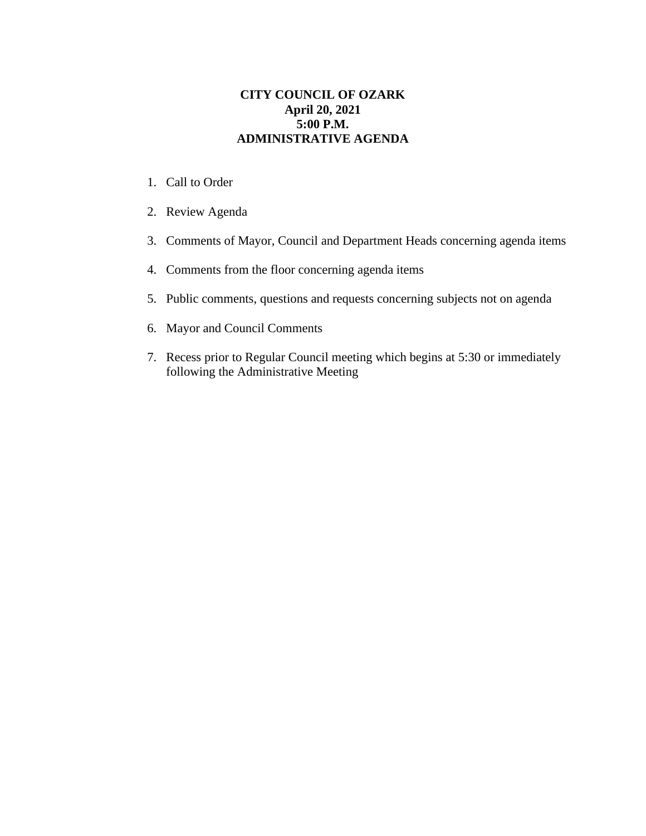## **CITY COUNCIL OF OZARK April 20, 2021 5:00 P.M. ADMINISTRATIVE AGENDA**

- 1. Call to Order
- 2. Review Agenda
- 3. Comments of Mayor, Council and Department Heads concerning agenda items
- 4. Comments from the floor concerning agenda items
- 5. Public comments, questions and requests concerning subjects not on agenda
- 6. Mayor and Council Comments
- 7. Recess prior to Regular Council meeting which begins at 5:30 or immediately following the Administrative Meeting